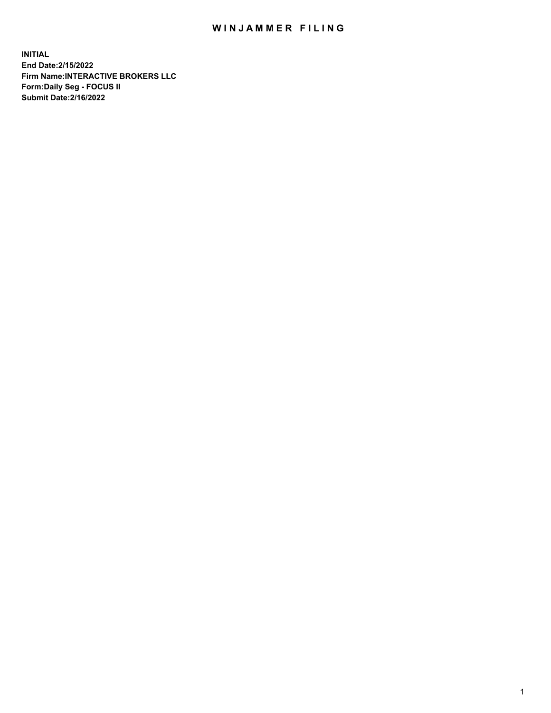## WIN JAMMER FILING

**INITIAL End Date:2/15/2022 Firm Name:INTERACTIVE BROKERS LLC Form:Daily Seg - FOCUS II Submit Date:2/16/2022**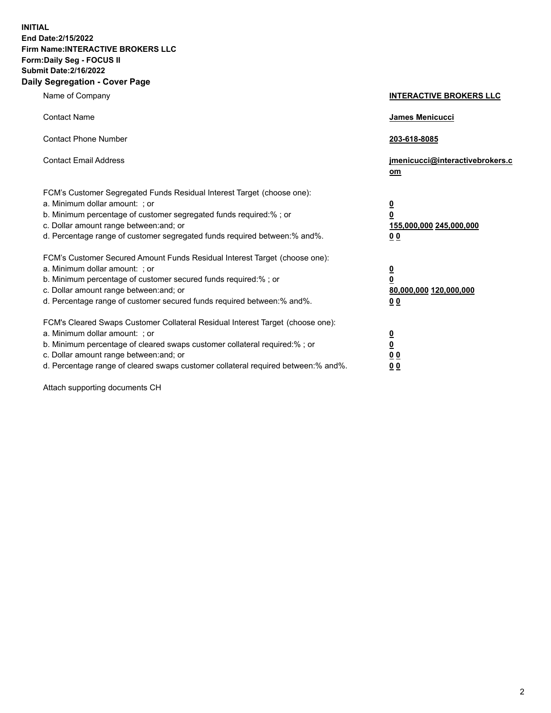**INITIAL End Date:2/15/2022 Firm Name:INTERACTIVE BROKERS LLC Form:Daily Seg - FOCUS II Submit Date:2/16/2022 Daily Segregation - Cover Page**

| Name of Company                                                                                                                                                                                                                                                                                                               | <b>INTERACTIVE BROKERS LLC</b>                                                                  |  |
|-------------------------------------------------------------------------------------------------------------------------------------------------------------------------------------------------------------------------------------------------------------------------------------------------------------------------------|-------------------------------------------------------------------------------------------------|--|
| <b>Contact Name</b>                                                                                                                                                                                                                                                                                                           | James Menicucci                                                                                 |  |
| <b>Contact Phone Number</b>                                                                                                                                                                                                                                                                                                   | 203-618-8085                                                                                    |  |
| <b>Contact Email Address</b>                                                                                                                                                                                                                                                                                                  | jmenicucci@interactivebrokers.c<br><u>om</u>                                                    |  |
| FCM's Customer Segregated Funds Residual Interest Target (choose one):<br>a. Minimum dollar amount: ; or<br>b. Minimum percentage of customer segregated funds required:% ; or<br>c. Dollar amount range between: and; or<br>d. Percentage range of customer segregated funds required between:% and%.                        | $\overline{\mathbf{0}}$<br>$\overline{\mathbf{0}}$<br>155,000,000 245,000,000<br>0 <sub>0</sub> |  |
| FCM's Customer Secured Amount Funds Residual Interest Target (choose one):<br>a. Minimum dollar amount: ; or<br>b. Minimum percentage of customer secured funds required:%; or<br>c. Dollar amount range between: and; or<br>d. Percentage range of customer secured funds required between:% and%.                           | $\overline{\mathbf{0}}$<br>$\overline{\mathbf{0}}$<br>80,000,000 120,000,000<br>0 <sub>0</sub>  |  |
| FCM's Cleared Swaps Customer Collateral Residual Interest Target (choose one):<br>a. Minimum dollar amount: ; or<br>b. Minimum percentage of cleared swaps customer collateral required:%; or<br>c. Dollar amount range between: and; or<br>d. Percentage range of cleared swaps customer collateral required between:% and%. | $\overline{\mathbf{0}}$<br>$\overline{\mathbf{0}}$<br>0 <sub>0</sub><br>0 <sub>0</sub>          |  |

Attach supporting documents CH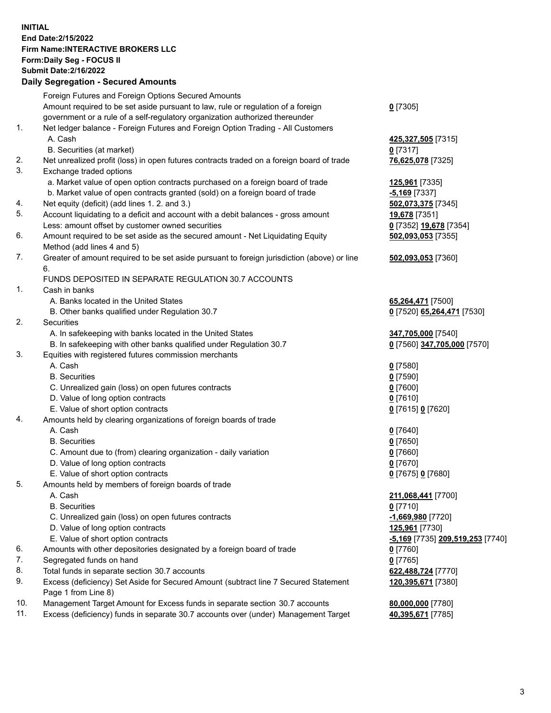**INITIAL End Date:2/15/2022 Firm Name:INTERACTIVE BROKERS LLC Form:Daily Seg - FOCUS II Submit Date:2/16/2022 Daily Segregation - Secured Amounts**

## Foreign Futures and Foreign Options Secured Amounts Amount required to be set aside pursuant to law, rule or regulation of a foreign government or a rule of a self-regulatory organization authorized thereunder **0** [7305] 1. Net ledger balance - Foreign Futures and Foreign Option Trading - All Customers A. Cash **425,327,505** [7315] B. Securities (at market) **0** [7317] 2. Net unrealized profit (loss) in open futures contracts traded on a foreign board of trade **76,625,078** [7325] 3. Exchange traded options a. Market value of open option contracts purchased on a foreign board of trade **125,961** [7335] b. Market value of open contracts granted (sold) on a foreign board of trade **-5,169** [7337] 4. Net equity (deficit) (add lines 1. 2. and 3.) **502,073,375** [7345] 5. Account liquidating to a deficit and account with a debit balances - gross amount **19,678** [7351] Less: amount offset by customer owned securities **0** [7352] **19,678** [7354] 6. Amount required to be set aside as the secured amount - Net Liquidating Equity Method (add lines 4 and 5) **502,093,053** [7355] 7. Greater of amount required to be set aside pursuant to foreign jurisdiction (above) or line 6. **502,093,053** [7360] FUNDS DEPOSITED IN SEPARATE REGULATION 30.7 ACCOUNTS 1. Cash in banks A. Banks located in the United States **65,264,471** [7500] B. Other banks qualified under Regulation 30.7 **0** [7520] **65,264,471** [7530] 2. Securities A. In safekeeping with banks located in the United States **347,705,000** [7540] B. In safekeeping with other banks qualified under Regulation 30.7 **0** [7560] **347,705,000** [7570] 3. Equities with registered futures commission merchants A. Cash **0** [7580] B. Securities **0** [7590] C. Unrealized gain (loss) on open futures contracts **0** [7600] D. Value of long option contracts **0** [7610] E. Value of short option contracts **0** [7615] **0** [7620] 4. Amounts held by clearing organizations of foreign boards of trade A. Cash **0** [7640] B. Securities **0** [7650] C. Amount due to (from) clearing organization - daily variation **0** [7660] D. Value of long option contracts **0** [7670] E. Value of short option contracts **0** [7675] **0** [7680] 5. Amounts held by members of foreign boards of trade A. Cash **211,068,441** [7700] B. Securities **0** [7710] C. Unrealized gain (loss) on open futures contracts **-1,669,980** [7720] D. Value of long option contracts **125,961** [7730] E. Value of short option contracts **-5,169** [7735] **209,519,253** [7740] 6. Amounts with other depositories designated by a foreign board of trade **0** [7760] 7. Segregated funds on hand **0** [7765] 8. Total funds in separate section 30.7 accounts **622,488,724** [7770] 9. Excess (deficiency) Set Aside for Secured Amount (subtract line 7 Secured Statement Page 1 from Line 8) **120,395,671** [7380] 10. Management Target Amount for Excess funds in separate section 30.7 accounts **80,000,000** [7780] 11. Excess (deficiency) funds in separate 30.7 accounts over (under) Management Target **40,395,671** [7785]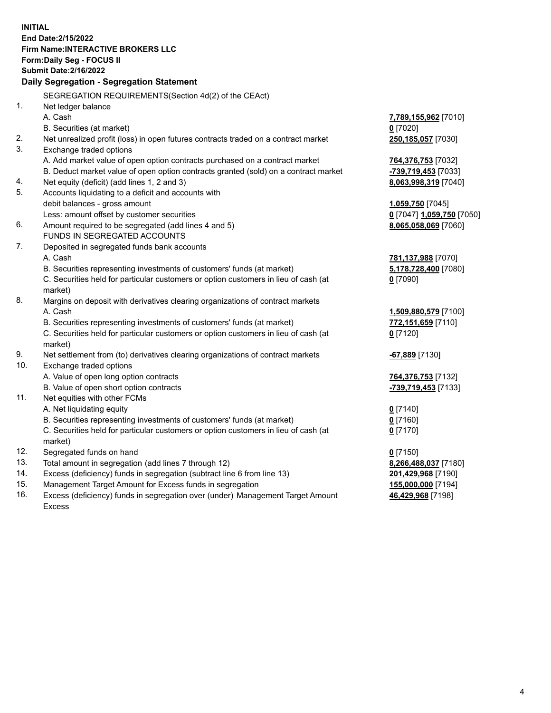**INITIAL End Date:2/15/2022 Firm Name:INTERACTIVE BROKERS LLC Form:Daily Seg - FOCUS II Submit Date:2/16/2022 Daily Segregation - Segregation Statement** SEGREGATION REQUIREMENTS(Section 4d(2) of the CEAct) 1. Net ledger balance A. Cash **7,789,155,962** [7010] B. Securities (at market) **0** [7020] 2. Net unrealized profit (loss) in open futures contracts traded on a contract market **250,185,057** [7030] 3. Exchange traded options A. Add market value of open option contracts purchased on a contract market **764,376,753** [7032] B. Deduct market value of open option contracts granted (sold) on a contract market **-739,719,453** [7033] 4. Net equity (deficit) (add lines 1, 2 and 3) **8,063,998,319** [7040] 5. Accounts liquidating to a deficit and accounts with debit balances - gross amount **1,059,750** [7045] Less: amount offset by customer securities **0** [7047] **1,059,750** [7050] 6. Amount required to be segregated (add lines 4 and 5) **8,065,058,069** [7060] FUNDS IN SEGREGATED ACCOUNTS 7. Deposited in segregated funds bank accounts A. Cash **781,137,988** [7070] B. Securities representing investments of customers' funds (at market) **5,178,728,400** [7080] C. Securities held for particular customers or option customers in lieu of cash (at market) **0** [7090] 8. Margins on deposit with derivatives clearing organizations of contract markets A. Cash **1,509,880,579** [7100] B. Securities representing investments of customers' funds (at market) **772,151,659** [7110] C. Securities held for particular customers or option customers in lieu of cash (at market) **0** [7120] 9. Net settlement from (to) derivatives clearing organizations of contract markets **-67,889** [7130] 10. Exchange traded options A. Value of open long option contracts **764,376,753** [7132] B. Value of open short option contracts **-739,719,453** [7133] 11. Net equities with other FCMs A. Net liquidating equity **0** [7140] B. Securities representing investments of customers' funds (at market) **0** [7160] C. Securities held for particular customers or option customers in lieu of cash (at market) **0** [7170] 12. Segregated funds on hand **0** [7150] 13. Total amount in segregation (add lines 7 through 12) **8,266,488,037** [7180] 14. Excess (deficiency) funds in segregation (subtract line 6 from line 13) **201,429,968** [7190] 15. Management Target Amount for Excess funds in segregation **155,000,000** [7194] 16. Excess (deficiency) funds in segregation over (under) Management Target Amount **46,429,968** [7198]

Excess